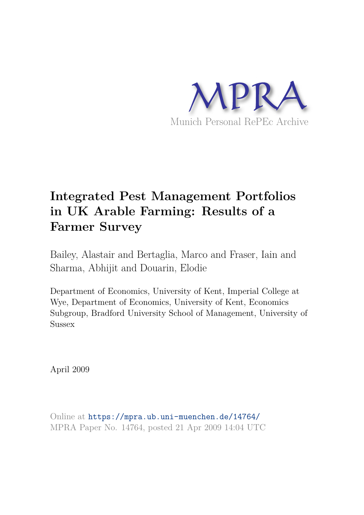

# **Integrated Pest Management Portfolios in UK Arable Farming: Results of a Farmer Survey**

Bailey, Alastair and Bertaglia, Marco and Fraser, Iain and Sharma, Abhijit and Douarin, Elodie

Department of Economics, University of Kent, Imperial College at Wye, Department of Economics, University of Kent, Economics Subgroup, Bradford University School of Management, University of **Sussex** 

April 2009

Online at https://mpra.ub.uni-muenchen.de/14764/ MPRA Paper No. 14764, posted 21 Apr 2009 14:04 UTC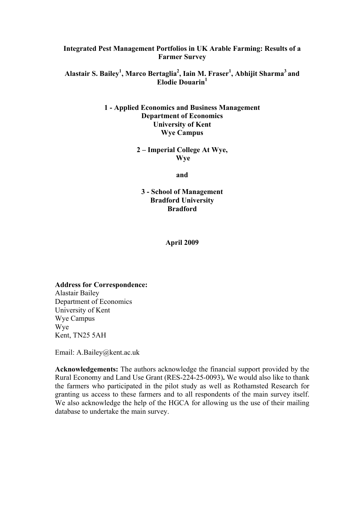#### **Integrated Pest Management Portfolios in UK Arable Farming: Results of a Farmer Survey**

#### **Alastair S. Bailey<sup>1</sup> , Marco Bertaglia<sup>2</sup> , Iain M. Fraser<sup>1</sup> , Abhijit Sharma<sup>3</sup>and Elodie Douarin<sup>1</sup>**

#### **1 - Applied Economics and Business Management Department of Economics University of Kent Wye Campus**

#### **2 – Imperial College At Wye, Wye**

**and** 

#### **3 - School of Management Bradford University Bradford**

**April 2009** 

**Address for Correspondence:**  Alastair Bailey Department of Economics University of Kent Wye Campus Wye Kent, TN25 5AH

Email: A.Bailey@kent.ac.uk

**Acknowledgements:** The authors acknowledge the financial support provided by the Rural Economy and Land Use Grant (RES-224-25-0093)**.** We would also like to thank the farmers who participated in the pilot study as well as Rothamsted Research for granting us access to these farmers and to all respondents of the main survey itself. We also acknowledge the help of the HGCA for allowing us the use of their mailing database to undertake the main survey.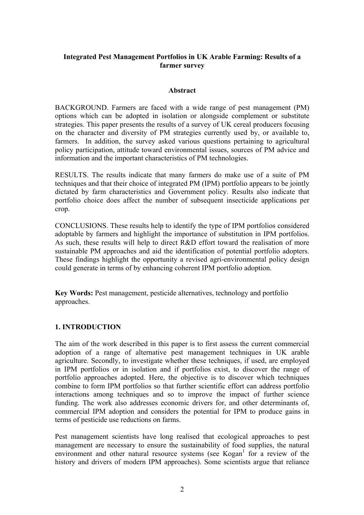#### **Integrated Pest Management Portfolios in UK Arable Farming: Results of a farmer survey**

#### **Abstract**

BACKGROUND. Farmers are faced with a wide range of pest management (PM) options which can be adopted in isolation or alongside complement or substitute strategies. This paper presents the results of a survey of UK cereal producers focusing on the character and diversity of PM strategies currently used by, or available to, farmers. In addition, the survey asked various questions pertaining to agricultural policy participation, attitude toward environmental issues, sources of PM advice and information and the important characteristics of PM technologies.

RESULTS. The results indicate that many farmers do make use of a suite of PM techniques and that their choice of integrated PM (IPM) portfolio appears to be jointly dictated by farm characteristics and Government policy. Results also indicate that portfolio choice does affect the number of subsequent insecticide applications per crop.

CONCLUSIONS. These results help to identify the type of IPM portfolios considered adoptable by farmers and highlight the importance of substitution in IPM portfolios. As such, these results will help to direct R&D effort toward the realisation of more sustainable PM approaches and aid the identification of potential portfolio adopters. These findings highlight the opportunity a revised agri-environmental policy design could generate in terms of by enhancing coherent IPM portfolio adoption.

**Key Words:** Pest management, pesticide alternatives, technology and portfolio approaches.

#### **1. INTRODUCTION**

The aim of the work described in this paper is to first assess the current commercial adoption of a range of alternative pest management techniques in UK arable agriculture. Secondly, to investigate whether these techniques, if used, are employed in IPM portfolios or in isolation and if portfolios exist, to discover the range of portfolio approaches adopted. Here, the objective is to discover which techniques combine to form IPM portfolios so that further scientific effort can address portfolio interactions among techniques and so to improve the impact of further science funding. The work also addresses economic drivers for, and other determinants of, commercial IPM adoption and considers the potential for IPM to produce gains in terms of pesticide use reductions on farms.

Pest management scientists have long realised that ecological approaches to pest management are necessary to ensure the sustainability of food supplies, the natural environment and other natural resource systems (see Kogan<sup>1</sup> for a review of the history and drivers of modern IPM approaches). Some scientists argue that reliance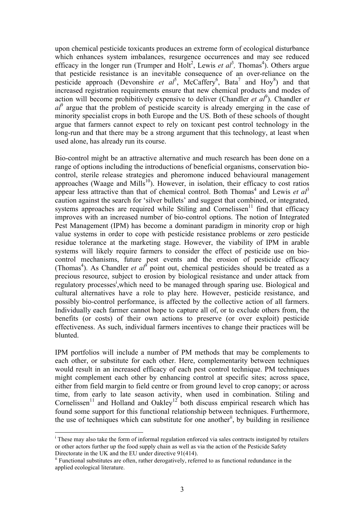upon chemical pesticide toxicants produces an extreme form of ecological disturbance which enhances system imbalances, resurgence occurrences and may see reduced efficacy in the longer run (Trumper and Holt<sup>2</sup>, Lewis *et al*<sup>3</sup>, Thomas<sup>4</sup>). Others argue that pesticide resistance is an inevitable consequence of an over-reliance on the pesticide approach (Devonshire *et al*<sup>5</sup>, McCaffery<sup>6</sup>, Bata<sup>7</sup> and Hoy<sup>8</sup>) and that increased registration requirements ensure that new chemical products and modes of action will become prohibitively expensive to deliver (Chandler *et*  $a l^9$ ). Chandler *et al*9 argue that the problem of pesticide scarcity is already emerging in the case of minority specialist crops in both Europe and the US. Both of these schools of thought argue that farmers cannot expect to rely on toxicant pest control technology in the long-run and that there may be a strong argument that this technology, at least when used alone, has already run its course.

Bio-control might be an attractive alternative and much research has been done on a range of options including the introductions of beneficial organisms, conservation biocontrol, sterile release strategies and pheromone induced behavioural management approaches (Waage and Mills<sup>10</sup>). However, in isolation, their efficacy to cost ratios appear less attractive than that of chemical control. Both Thomas<sup>4</sup> and Lewis *et al*<sup>3</sup> caution against the search for 'silver bullets' and suggest that combined, or integrated, systems approaches are required while Stiling and Cornelissen<sup>11</sup> find that efficacy improves with an increased number of bio-control options. The notion of Integrated Pest Management (IPM) has become a dominant paradigm in minority crop or high value systems in order to cope with pesticide resistance problems or zero pesticide residue tolerance at the marketing stage. However, the viability of IPM in arable systems will likely require farmers to consider the effect of pesticide use on biocontrol mechanisms, future pest events and the erosion of pesticide efficacy (Thomas<sup>4</sup>). As Chandler *et al*<sup> $\delta$ </sup> point out, chemical pesticides should be treated as a precious resource, subject to erosion by biological resistance and under attack from regulatory processes<sup>i</sup>, which need to be managed through sparing use. Biological and cultural alternatives have a role to play here. However, pesticide resistance, and possibly bio-control performance, is affected by the collective action of all farmers. Individually each farmer cannot hope to capture all of, or to exclude others from, the benefits (or costs) of their own actions to preserve (or over exploit) pesticide effectiveness. As such, individual farmers incentives to change their practices will be blunted.

IPM portfolios will include a number of PM methods that may be complements to each other, or substitute for each other. Here, complementarity between techniques would result in an increased efficacy of each pest control technique. PM techniques might complement each other by enhancing control at specific sites; across space, either from field margin to field centre or from ground level to crop canopy; or across time, from early to late season activity, when used in combination. Stiling and Cornelissen<sup>11</sup> and Holland and Oakley<sup>12</sup> both discuss empirical research which has found some support for this functional relationship between techniques. Furthermore, the use of techniques which can substitute for one another<sup>ii</sup>, by building in resilience

 $\overline{\phantom{a}}$ 

<sup>&</sup>lt;sup>i</sup> These may also take the form of informal regulation enforced via sales contracts instigated by retailers or other actors further up the food supply chain as well as via the action of the Pesticide Safety Directorate in the UK and the EU under directive 91(414).

ii Functional substitutes are often, rather derogatively, referred to as functional redundance in the applied ecological literature.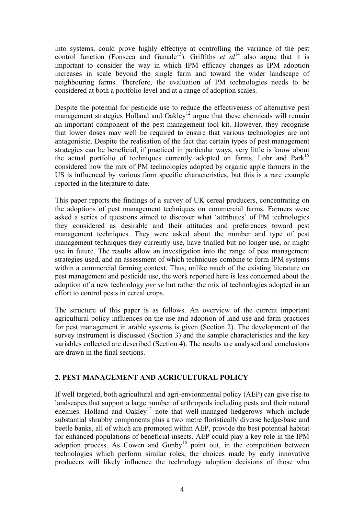into systems, could prove highly effective at controlling the variance of the pest control function (Fonseca and Ganade<sup>13</sup>). Griffiths *et al*<sup>14</sup> also argue that it is important to consider the way in which IPM efficacy changes as IPM adoption increases in scale beyond the single farm and toward the wider landscape of neighbouring farms. Therefore, the evaluation of PM technologies needs to be considered at both a portfolio level and at a range of adoption scales.

Despite the potential for pesticide use to reduce the effectiveness of alternative pest management strategies Holland and Oakley<sup>12</sup> argue that these chemicals will remain an important component of the pest management tool kit. However, they recognise that lower doses may well be required to ensure that various technologies are not antagonistic. Despite the realisation of the fact that certain types of pest management strategies can be beneficial, if practiced in particular ways, very little is know about the actual portfolio of techniques currently adopted on farms. Lohr and Park<sup>15</sup> considered how the mix of PM technologies adopted by organic apple farmers in the US is influenced by various farm specific characteristics, but this is a rare example reported in the literature to date.

This paper reports the findings of a survey of UK cereal producers, concentrating on the adoptions of pest management techniques on commercial farms. Farmers were asked a series of questions aimed to discover what 'attributes' of PM technologies they considered as desirable and their attitudes and preferences toward pest management techniques. They were asked about the number and type of pest management techniques they currently use, have trialled but no longer use, or might use in future. The results allow an investigation into the range of pest management strategies used, and an assessment of which techniques combine to form IPM systems within a commercial farming context. Thus, unlike much of the existing literature on pest management and pesticide use, the work reported here is less concerned about the adoption of a new technology *per se* but rather the mix of technologies adopted in an effort to control pests in cereal crops.

The structure of this paper is as follows. An overview of the current important agricultural policy influences on the use and adoption of land use and farm practices for pest management in arable systems is given (Section 2). The development of the survey instrument is discussed (Section 3) and the sample characteristics and the key variables collected are described (Section 4). The results are analysed and conclusions are drawn in the final sections.

#### **2. PEST MANAGEMENT AND AGRICULTURAL POLICY**

If well targeted, both agricultural and agri-envionmental policy (AEP) can give rise to landscapes that support a large number of arthropods including pests and their natural enemies. Holland and Oakley<sup>12</sup> note that well-managed hedgerows which include substantial shrubby components plus a two metre floristically diverse hedge-base and beetle banks, all of which are promoted within AEP, provide the best potential habitat for enhanced populations of beneficial insects. AEP could play a key role in the IPM adoption process. As Cowen and Gunby<sup>16</sup> point out, in the competition between technologies which perform similar roles, the choices made by early innovative producers will likely influence the technology adoption decisions of those who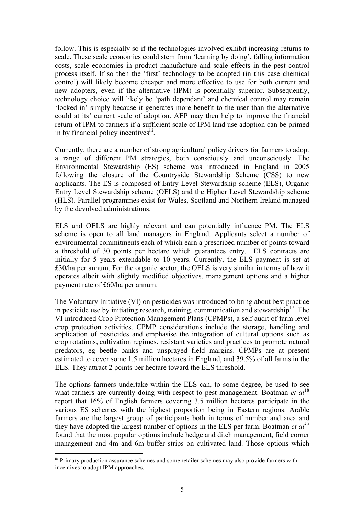follow. This is especially so if the technologies involved exhibit increasing returns to scale. These scale economies could stem from 'learning by doing', falling information costs, scale economies in product manufacture and scale effects in the pest control process itself. If so then the 'first' technology to be adopted (in this case chemical control) will likely become cheaper and more effective to use for both current and new adopters, even if the alternative (IPM) is potentially superior. Subsequently, technology choice will likely be 'path dependant' and chemical control may remain 'locked-in' simply because it generates more benefit to the user than the alternative could at its' current scale of adoption. AEP may then help to improve the financial return of IPM to farmers if a sufficient scale of IPM land use adoption can be primed in by financial policy incentives<sup>iii</sup>.

Currently, there are a number of strong agricultural policy drivers for farmers to adopt a range of different PM strategies, both consciously and unconsciously. The Environmental Stewardship (ES) scheme was introduced in England in 2005 following the closure of the Countryside Stewardship Scheme (CSS) to new applicants. The ES is composed of Entry Level Stewardship scheme (ELS), Organic Entry Level Stewardship scheme (OELS) and the Higher Level Stewardship scheme (HLS). Parallel programmes exist for Wales, Scotland and Northern Ireland managed by the devolved administrations.

ELS and OELS are highly relevant and can potentially influence PM. The ELS scheme is open to all land managers in England. Applicants select a number of environmental commitments each of which earn a prescribed number of points toward a threshold of 30 points per hectare which guarantees entry. ELS contracts are initially for 5 years extendable to 10 years. Currently, the ELS payment is set at £30/ha per annum. For the organic sector, the OELS is very similar in terms of how it operates albeit with slightly modified objectives, management options and a higher payment rate of £60/ha per annum.

The Voluntary Initiative (VI) on pesticides was introduced to bring about best practice in pesticide use by initiating research, training, communication and stewardship<sup>17</sup>. The VI introduced Crop Protection Management Plans (CPMPs), a self audit of farm level crop protection activities. CPMP considerations include the storage, handling and application of pesticides and emphasise the integration of cultural options such as crop rotations, cultivation regimes, resistant varieties and practices to promote natural predators, eg beetle banks and unsprayed field margins. CPMPs are at present estimated to cover some 1.5 million hectares in England, and 39.5% of all farms in the ELS. They attract 2 points per hectare toward the ELS threshold.

The options farmers undertake within the ELS can, to some degree, be used to see what farmers are currently doing with respect to pest management. Boatman *et al*<sup>18</sup> report that 16% of English farmers covering 3.5 million hectares participate in the various ES schemes with the highest proportion being in Eastern regions. Arable farmers are the largest group of participants both in terms of number and area and they have adopted the largest number of options in the ELS per farm. Boatman *et al<sup>18</sup>* found that the most popular options include hedge and ditch management, field corner management and 4m and 6m buffer strips on cultivated land. Those options which

 $\overline{a}$ 

iii Primary production assurance schemes and some retailer schemes may also provide farmers with incentives to adopt IPM approaches.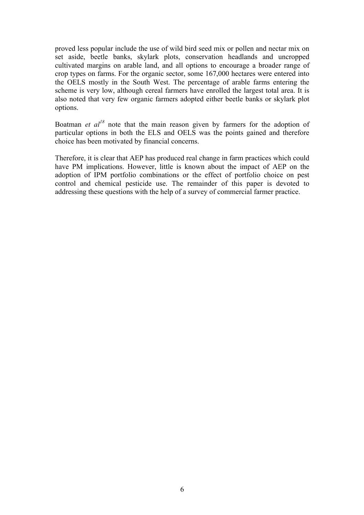proved less popular include the use of wild bird seed mix or pollen and nectar mix on set aside, beetle banks, skylark plots, conservation headlands and uncropped cultivated margins on arable land, and all options to encourage a broader range of crop types on farms. For the organic sector, some 167,000 hectares were entered into the OELS mostly in the South West. The percentage of arable farms entering the scheme is very low, although cereal farmers have enrolled the largest total area. It is also noted that very few organic farmers adopted either beetle banks or skylark plot options.

Boatman *et al*<sup>18</sup> note that the main reason given by farmers for the adoption of particular options in both the ELS and OELS was the points gained and therefore choice has been motivated by financial concerns.

Therefore, it is clear that AEP has produced real change in farm practices which could have PM implications. However, little is known about the impact of AEP on the adoption of IPM portfolio combinations or the effect of portfolio choice on pest control and chemical pesticide use. The remainder of this paper is devoted to addressing these questions with the help of a survey of commercial farmer practice.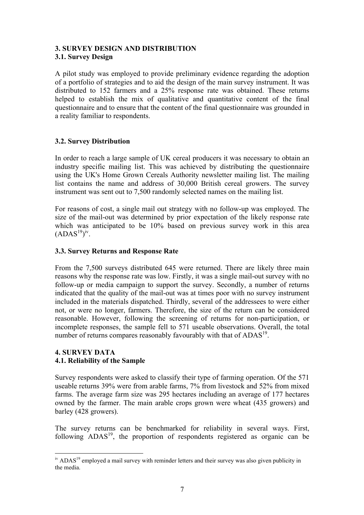#### **3. SURVEY DESIGN AND DISTRIBUTION 3.1. Survey Design**

A pilot study was employed to provide preliminary evidence regarding the adoption of a portfolio of strategies and to aid the design of the main survey instrument. It was distributed to 152 farmers and a 25% response rate was obtained. These returns helped to establish the mix of qualitative and quantitative content of the final questionnaire and to ensure that the content of the final questionnaire was grounded in a reality familiar to respondents.

#### **3.2. Survey Distribution**

In order to reach a large sample of UK cereal producers it was necessary to obtain an industry specific mailing list. This was achieved by distributing the questionnaire using the UK's Home Grown Cereals Authority newsletter mailing list. The mailing list contains the name and address of 30,000 British cereal growers. The survey instrument was sent out to 7,500 randomly selected names on the mailing list.

For reasons of cost, a single mail out strategy with no follow-up was employed. The size of the mail-out was determined by prior expectation of the likely response rate which was anticipated to be 10% based on previous survey work in this area  $(ADAS<sup>19</sup>)<sup>iv</sup>$ .

#### **3.3. Survey Returns and Response Rate**

From the 7,500 surveys distributed 645 were returned. There are likely three main reasons why the response rate was low. Firstly, it was a single mail-out survey with no follow-up or media campaign to support the survey. Secondly, a number of returns indicated that the quality of the mail-out was at times poor with no survey instrument included in the materials dispatched. Thirdly, several of the addressees to were either not, or were no longer, farmers. Therefore, the size of the return can be considered reasonable. However, following the screening of returns for non-participation, or incomplete responses, the sample fell to 571 useable observations. Overall, the total number of returns compares reasonably favourably with that of ADAS<sup>19</sup>.

#### **4. SURVEY DATA 4.1. Reliability of the Sample**

Survey respondents were asked to classify their type of farming operation. Of the 571 useable returns 39% were from arable farms, 7% from livestock and 52% from mixed farms. The average farm size was 295 hectares including an average of 177 hectares owned by the farmer. The main arable crops grown were wheat (435 growers) and barley (428 growers).

The survey returns can be benchmarked for reliability in several ways. First, following ADAS<sup>19</sup>, the proportion of respondents registered as organic can be

 $\overline{a}$ <sup>iv</sup> ADAS<sup>19</sup> employed a mail survey with reminder letters and their survey was also given publicity in the media.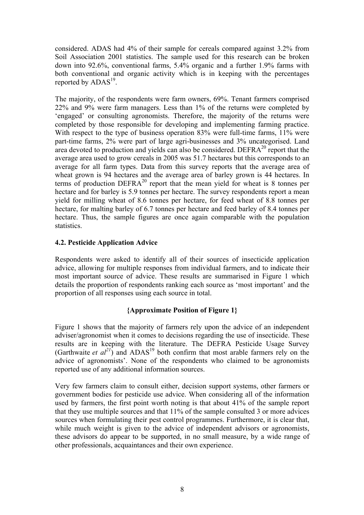considered. ADAS had 4% of their sample for cereals compared against 3.2% from Soil Association 2001 statistics. The sample used for this research can be broken down into 92.6%, conventional farms, 5.4% organic and a further 1.9% farms with both conventional and organic activity which is in keeping with the percentages reported by  $\text{ADAS}^{19}$ .

The majority, of the respondents were farm owners, 69%. Tenant farmers comprised 22% and 9% were farm managers. Less than 1% of the returns were completed by 'engaged' or consulting agronomists. Therefore, the majority of the returns were completed by those responsible for developing and implementing farming practice. With respect to the type of business operation 83% were full-time farms, 11% were part-time farms, 2% were part of large agri-businesses and 3% uncategorised. Land area devoted to production and yields can also be considered. DEFR $A^{20}$  report that the average area used to grow cereals in 2005 was 51.7 hectares but this corresponds to an average for all farm types. Data from this survey reports that the average area of wheat grown is 94 hectares and the average area of barley grown is 44 hectares. In terms of production  $DEFRA^{20}$  report that the mean yield for wheat is 8 tonnes per hectare and for barley is 5.9 tonnes per hectare. The survey respondents report a mean yield for milling wheat of 8.6 tonnes per hectare, for feed wheat of 8.8 tonnes per hectare, for malting barley of 6.7 tonnes per hectare and feed barley of 8.4 tonnes per hectare. Thus, the sample figures are once again comparable with the population statistics.

#### **4.2. Pesticide Application Advice**

Respondents were asked to identify all of their sources of insecticide application advice, allowing for multiple responses from individual farmers, and to indicate their most important source of advice. These results are summarised in Figure 1 which details the proportion of respondents ranking each source as 'most important' and the proportion of all responses using each source in total.

#### **{Approximate Position of Figure 1}**

Figure 1 shows that the majority of farmers rely upon the advice of an independent adviser/agronomist when it comes to decisions regarding the use of insecticide. These results are in keeping with the literature. The DEFRA Pesticide Usage Survey (Garthwaite *et*  $al^{21}$ ) and  $ADAS^{19}$  both confirm that most arable farmers rely on the advice of agronomists'. None of the respondents who claimed to be agronomists reported use of any additional information sources.

Very few farmers claim to consult either, decision support systems, other farmers or government bodies for pesticide use advice. When considering all of the information used by farmers, the first point worth noting is that about 41% of the sample report that they use multiple sources and that 11% of the sample consulted 3 or more advices sources when formulating their pest control programmes. Furthermore, it is clear that, while much weight is given to the advice of independent advisors or agronomists, these advisors do appear to be supported, in no small measure, by a wide range of other professionals, acquaintances and their own experience.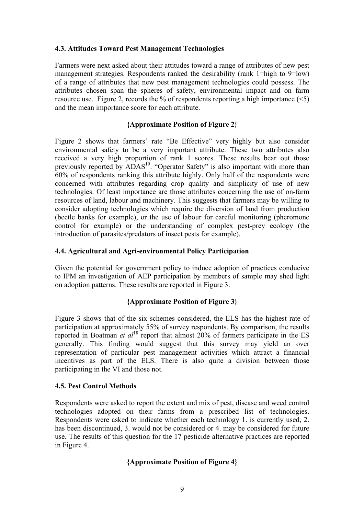#### **4.3. Attitudes Toward Pest Management Technologies**

Farmers were next asked about their attitudes toward a range of attributes of new pest management strategies. Respondents ranked the desirability (rank 1=high to 9=low) of a range of attributes that new pest management technologies could possess. The attributes chosen span the spheres of safety, environmental impact and on farm resource use. Figure 2, records the % of respondents reporting a high importance  $(\leq 5)$ and the mean importance score for each attribute.

#### **{Approximate Position of Figure 2}**

Figure 2 shows that farmers' rate "Be Effective" very highly but also consider environmental safety to be a very important attribute. These two attributes also received a very high proportion of rank 1 scores. These results bear out those previously reported by  $\triangle DAS^{19}$ . "Operator Safety" is also important with more than 60% of respondents ranking this attribute highly. Only half of the respondents were concerned with attributes regarding crop quality and simplicity of use of new technologies. Of least importance are those attributes concerning the use of on-farm resources of land, labour and machinery. This suggests that farmers may be willing to consider adopting technologies which require the diversion of land from production (beetle banks for example), or the use of labour for careful monitoring (pheromone control for example) or the understanding of complex pest-prey ecology (the introduction of parasites/predators of insect pests for example).

#### **4.4. Agricultural and Agri-environmental Policy Participation**

Given the potential for government policy to induce adoption of practices conducive to IPM an investigation of AEP participation by members of sample may shed light on adoption patterns. These results are reported in Figure 3.

#### **{Approximate Position of Figure 3}**

Figure 3 shows that of the six schemes considered, the ELS has the highest rate of participation at approximately 55% of survey respondents. By comparison, the results reported in Boatman *et al*<sup>18</sup> report that almost 20% of farmers participate in the ES generally. This finding would suggest that this survey may yield an over representation of particular pest management activities which attract a financial incentives as part of the ELS. There is also quite a division between those participating in the VI and those not.

#### **4.5. Pest Control Methods**

Respondents were asked to report the extent and mix of pest, disease and weed control technologies adopted on their farms from a prescribed list of technologies. Respondents were asked to indicate whether each technology 1. is currently used, 2. has been discontinued, 3. would not be considered or 4. may be considered for future use. The results of this question for the 17 pesticide alternative practices are reported in Figure 4.

#### **{Approximate Position of Figure 4}**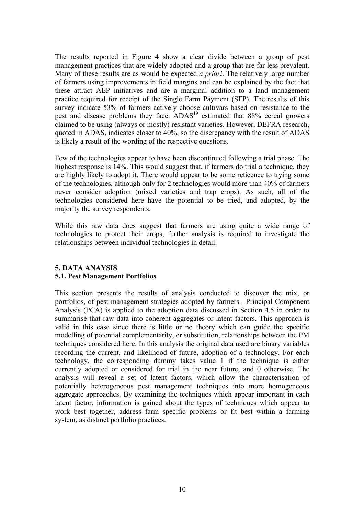The results reported in Figure 4 show a clear divide between a group of pest management practices that are widely adopted and a group that are far less prevalent. Many of these results are as would be expected *a priori*. The relatively large number of farmers using improvements in field margins and can be explained by the fact that these attract AEP initiatives and are a marginal addition to a land management practice required for receipt of the Single Farm Payment (SFP). The results of this survey indicate 53% of farmers actively choose cultivars based on resistance to the pest and disease problems they face. ADAS<sup>19</sup> estimated that 88% cereal growers claimed to be using (always or mostly) resistant varieties. However, DEFRA research, quoted in ADAS, indicates closer to 40%, so the discrepancy with the result of ADAS is likely a result of the wording of the respective questions.

Few of the technologies appear to have been discontinued following a trial phase. The highest response is 14%. This would suggest that, if farmers do trial a technique, they are highly likely to adopt it. There would appear to be some reticence to trying some of the technologies, although only for 2 technologies would more than 40% of farmers never consider adoption (mixed varieties and trap crops). As such, all of the technologies considered here have the potential to be tried, and adopted, by the majority the survey respondents.

While this raw data does suggest that farmers are using quite a wide range of technologies to protect their crops, further analysis is required to investigate the relationships between individual technologies in detail.

#### **5. DATA ANAYSIS 5.1. Pest Management Portfolios**

This section presents the results of analysis conducted to discover the mix, or portfolios, of pest management strategies adopted by farmers. Principal Component Analysis (PCA) is applied to the adoption data discussed in Section 4.5 in order to summarise that raw data into coherent aggregates or latent factors. This approach is valid in this case since there is little or no theory which can guide the specific modelling of potential complementarity, or substitution, relationships between the PM techniques considered here. In this analysis the original data used are binary variables recording the current, and likelihood of future, adoption of a technology. For each technology, the corresponding dummy takes value 1 if the technique is either currently adopted or considered for trial in the near future, and 0 otherwise. The analysis will reveal a set of latent factors, which allow the characterisation of potentially heterogeneous pest management techniques into more homogeneous aggregate approaches. By examining the techniques which appear important in each latent factor, information is gained about the types of techniques which appear to work best together, address farm specific problems or fit best within a farming system, as distinct portfolio practices.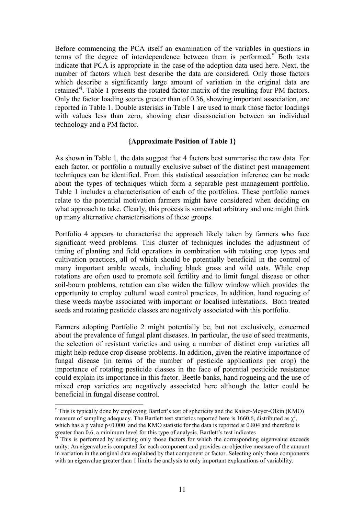Before commencing the PCA itself an examination of the variables in questions in terms of the degree of interdependence between them is performed. $v$  Both tests indicate that PCA is appropriate in the case of the adoption data used here. Next, the number of factors which best describe the data are considered. Only those factors which describe a significantly large amount of variation in the original data are retained<sup>vi</sup>. Table 1 presents the rotated factor matrix of the resulting four PM factors. Only the factor loading scores greater than of 0.36, showing important association, are reported in Table 1. Double asterisks in Table 1 are used to mark those factor loadings with values less than zero, showing clear disassociation between an individual technology and a PM factor.

#### **{Approximate Position of Table 1}**

As shown in Table 1, the data suggest that 4 factors best summarise the raw data. For each factor, or portfolio a mutually exclusive subset of the distinct pest management techniques can be identified. From this statistical association inference can be made about the types of techniques which form a separable pest management portfolio. Table 1 includes a characterisation of each of the portfolios. These portfolio names relate to the potential motivation farmers might have considered when deciding on what approach to take. Clearly, this process is somewhat arbitrary and one might think up many alternative characterisations of these groups.

Portfolio 4 appears to characterise the approach likely taken by farmers who face significant weed problems. This cluster of techniques includes the adjustment of timing of planting and field operations in combination with rotating crop types and cultivation practices, all of which should be potentially beneficial in the control of many important arable weeds, including black grass and wild oats. While crop rotations are often used to promote soil fertility and to limit fungal disease or other soil-bourn problems, rotation can also widen the fallow window which provides the opportunity to employ cultural weed control practices. In addition, hand rogueing of these weeds maybe associated with important or localised infestations. Both treated seeds and rotating pesticide classes are negatively associated with this portfolio.

Farmers adopting Portfolio 2 might potentially be, but not exclusively, concerned about the prevalence of fungal plant diseases. In particular, the use of seed treatments, the selection of resistant varieties and using a number of distinct crop varieties all might help reduce crop disease problems. In addition, given the relative importance of fungal disease (in terms of the number of pesticide applications per crop) the importance of rotating pesticide classes in the face of potential pesticide resistance could explain its importance in this factor. Beetle banks, hand rogueing and the use of mixed crop varieties are negatively associated here although the latter could be beneficial in fungal disease control.

 $\overline{a}$ 

v This is typically done by employing Bartlett's test of sphericity and the Kaiser-Meyer-Olkin (KMO) measure of sampling adequacy. The Bartlett test statistics reported here is 1660.6, distributed as  $\chi^2$ , which has a p value p<0.000 and the KMO statistic for the data is reported at 0.804 and therefore is greater than 0.6, a minimum level for this type of analysis. Bartlett's test indicates

 $\overline{v}$ <sup>1</sup>. This is performed by selecting only those factors for which the corresponding eigenvalue exceeds unity. An eigenvalue is computed for each component and provides an objective measure of the amount in variation in the original data explained by that component or factor. Selecting only those components with an eigenvalue greater than 1 limits the analysis to only important explanations of variability.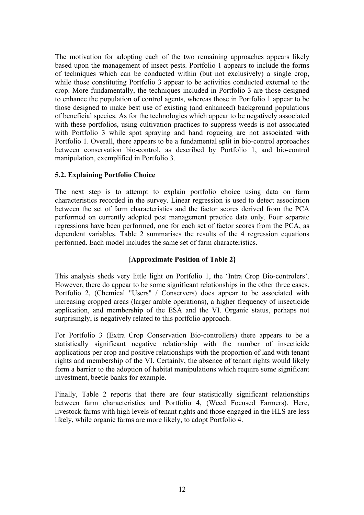The motivation for adopting each of the two remaining approaches appears likely based upon the management of insect pests. Portfolio 1 appears to include the forms of techniques which can be conducted within (but not exclusively) a single crop, while those constituting Portfolio 3 appear to be activities conducted external to the crop. More fundamentally, the techniques included in Portfolio 3 are those designed to enhance the population of control agents, whereas those in Portfolio 1 appear to be those designed to make best use of existing (and enhanced) background populations of beneficial species. As for the technologies which appear to be negatively associated with these portfolios, using cultivation practices to suppress weeds is not associated with Portfolio 3 while spot spraying and hand rogueing are not associated with Portfolio 1. Overall, there appears to be a fundamental split in bio-control approaches between conservation bio-control, as described by Portfolio 1, and bio-control manipulation, exemplified in Portfolio 3.

#### **5.2. Explaining Portfolio Choice**

The next step is to attempt to explain portfolio choice using data on farm characteristics recorded in the survey. Linear regression is used to detect association between the set of farm characteristics and the factor scores derived from the PCA performed on currently adopted pest management practice data only. Four separate regressions have been performed, one for each set of factor scores from the PCA, as dependent variables. Table 2 summarises the results of the 4 regression equations performed. Each model includes the same set of farm characteristics.

#### **{Approximate Position of Table 2}**

This analysis sheds very little light on Portfolio 1, the 'Intra Crop Bio-controlers'. However, there do appear to be some significant relationships in the other three cases. Portfolio 2, (Chemical "Users" / Conservers) does appear to be associated with increasing cropped areas (larger arable operations), a higher frequency of insecticide application, and membership of the ESA and the VI. Organic status, perhaps not surprisingly, is negatively related to this portfolio approach.

For Portfolio 3 (Extra Crop Conservation Bio-controllers) there appears to be a statistically significant negative relationship with the number of insecticide applications per crop and positive relationships with the proportion of land with tenant rights and membership of the VI. Certainly, the absence of tenant rights would likely form a barrier to the adoption of habitat manipulations which require some significant investment, beetle banks for example.

Finally, Table 2 reports that there are four statistically significant relationships between farm characteristics and Portfolio 4, (Weed Focused Farmers). Here, livestock farms with high levels of tenant rights and those engaged in the HLS are less likely, while organic farms are more likely, to adopt Portfolio 4.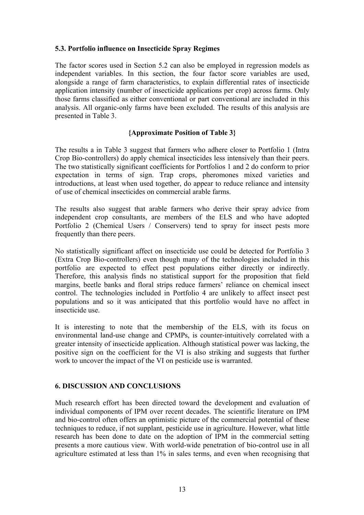#### **5.3. Portfolio influence on Insecticide Spray Regimes**

The factor scores used in Section 5.2 can also be employed in regression models as independent variables. In this section, the four factor score variables are used, alongside a range of farm characteristics, to explain differential rates of insecticide application intensity (number of insecticide applications per crop) across farms. Only those farms classified as either conventional or part conventional are included in this analysis. All organic-only farms have been excluded. The results of this analysis are presented in Table 3.

#### **{Approximate Position of Table 3}**

The results a in Table 3 suggest that farmers who adhere closer to Portfolio 1 (Intra Crop Bio-controllers) do apply chemical insecticides less intensively than their peers. The two statistically significant coefficients for Portfolios 1 and 2 do conform to prior expectation in terms of sign. Trap crops, pheromones mixed varieties and introductions, at least when used together, do appear to reduce reliance and intensity of use of chemical insecticides on commercial arable farms.

The results also suggest that arable farmers who derive their spray advice from independent crop consultants, are members of the ELS and who have adopted Portfolio 2 (Chemical Users / Conservers) tend to spray for insect pests more frequently than there peers.

No statistically significant affect on insecticide use could be detected for Portfolio 3 (Extra Crop Bio-controllers) even though many of the technologies included in this portfolio are expected to effect pest populations either directly or indirectly. Therefore, this analysis finds no statistical support for the proposition that field margins, beetle banks and floral strips reduce farmers' reliance on chemical insect control. The technologies included in Portfolio 4 are unlikely to affect insect pest populations and so it was anticipated that this portfolio would have no affect in insecticide use.

It is interesting to note that the membership of the ELS, with its focus on environmental land-use change and CPMPs, is counter-intuitively correlated with a greater intensity of insecticide application. Although statistical power was lacking, the positive sign on the coefficient for the VI is also striking and suggests that further work to uncover the impact of the VI on pesticide use is warranted.

#### **6. DISCUSSION AND CONCLUSIONS**

Much research effort has been directed toward the development and evaluation of individual components of IPM over recent decades. The scientific literature on IPM and bio-control often offers an optimistic picture of the commercial potential of these techniques to reduce, if not supplant, pesticide use in agriculture. However, what little research has been done to date on the adoption of IPM in the commercial setting presents a more cautious view. With world-wide penetration of bio-control use in all agriculture estimated at less than 1% in sales terms, and even when recognising that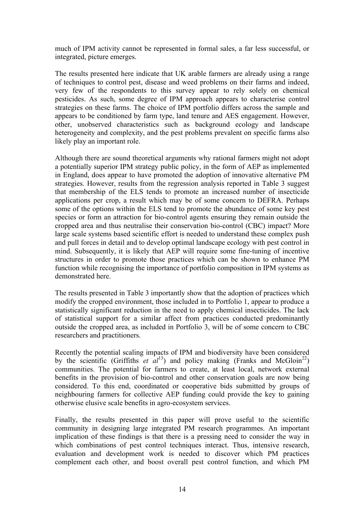much of IPM activity cannot be represented in formal sales, a far less successful, or integrated, picture emerges.

The results presented here indicate that UK arable farmers are already using a range of techniques to control pest, disease and weed problems on their farms and indeed, very few of the respondents to this survey appear to rely solely on chemical pesticides. As such, some degree of IPM approach appears to characterise control strategies on these farms. The choice of IPM portfolio differs across the sample and appears to be conditioned by farm type, land tenure and AES engagement. However, other, unobserved characteristics such as background ecology and landscape heterogeneity and complexity, and the pest problems prevalent on specific farms also likely play an important role.

Although there are sound theoretical arguments why rational farmers might not adopt a potentially superior IPM strategy public policy, in the form of AEP as implemented in England, does appear to have promoted the adoption of innovative alternative PM strategies. However, results from the regression analysis reported in Table 3 suggest that membership of the ELS tends to promote an increased number of insecticide applications per crop, a result which may be of some concern to DEFRA. Perhaps some of the options within the ELS tend to promote the abundance of some key pest species or form an attraction for bio-control agents ensuring they remain outside the cropped area and thus neutralise their conservation bio-control (CBC) impact? More large scale systems based scientific effort is needed to understand these complex push and pull forces in detail and to develop optimal landscape ecology with pest control in mind. Subsequently, it is likely that AEP will require some fine-tuning of incentive structures in order to promote those practices which can be shown to enhance PM function while recognising the importance of portfolio composition in IPM systems as demonstrated here.

The results presented in Table 3 importantly show that the adoption of practices which modify the cropped environment, those included in to Portfolio 1, appear to produce a statistically significant reduction in the need to apply chemical insecticides. The lack of statistical support for a similar affect from practices conducted predominantly outside the cropped area, as included in Portfolio 3, will be of some concern to CBC researchers and practitioners.

Recently the potential scaling impacts of IPM and biodiversity have been considered by the scientific (Griffiths  $et$   $aI<sup>13</sup>$ ) and policy making (Franks and McGloin<sup>22</sup>) communities. The potential for farmers to create, at least local, network external benefits in the provision of bio-control and other conservation goals are now being considered. To this end, coordinated or cooperative bids submitted by groups of neighbouring farmers for collective AEP funding could provide the key to gaining otherwise elusive scale benefits in agro-ecosystem services.

Finally, the results presented in this paper will prove useful to the scientific community in designing large integrated PM research programmes. An important implication of these findings is that there is a pressing need to consider the way in which combinations of pest control techniques interact. Thus, intensive research, evaluation and development work is needed to discover which PM practices complement each other, and boost overall pest control function, and which PM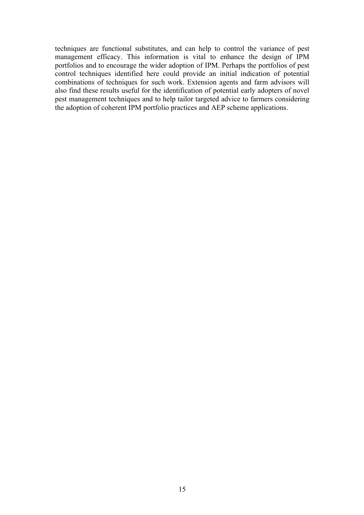techniques are functional substitutes, and can help to control the variance of pest management efficacy. This information is vital to enhance the design of IPM portfolios and to encourage the wider adoption of IPM. Perhaps the portfolios of pest control techniques identified here could provide an initial indication of potential combinations of techniques for such work. Extension agents and farm advisors will also find these results useful for the identification of potential early adopters of novel pest management techniques and to help tailor targeted advice to farmers considering the adoption of coherent IPM portfolio practices and AEP scheme applications.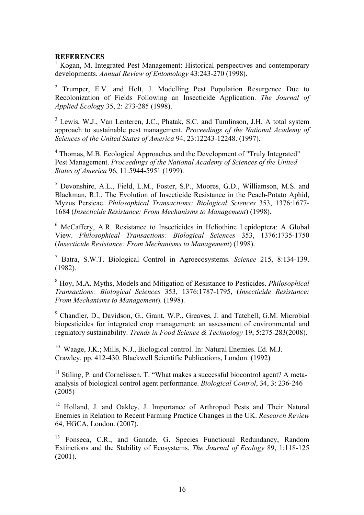#### **REFERENCES**

<sup>1</sup> Kogan, M. Integrated Pest Management: Historical perspectives and contemporary developments. *Annual Review of Entomology* 43:243-270 (1998).

<sup>2</sup> Trumper, E.V. and Holt, J. Modelling Pest Population Resurgence Due to Recolonization of Fields Following an Insecticide Application. *The Journal of Applied Ecolog*y 35, 2: 273-285 (1998).

<sup>3</sup> Lewis, W.J., Van Lenteren, J.C., Phatak, S.C. and Tumlinson, J.H. A total system approach to sustainable pest management. *Proceedings of the National Academy of Sciences of the United States of America* 94, 23:12243-12248. (1997).

<sup>4</sup> Thomas, M.B. Ecological Approaches and the Development of "Truly Integrated" Pest Management. *Proceedings of the National Academy of Sciences of the United States of America* 96, 11:5944-5951 (1999).

5 Devonshire, A.L., Field, L.M., Foster, S.P., Moores, G.D., Williamson, M.S. and Blackman, R.L. The Evolution of Insecticide Resistance in the Peach-Potato Aphid, Myzus Persicae. *Philosophical Transactions: Biological Sciences* 353, 1376:1677- 1684 (*Insecticide Resistance: From Mechanisms to Management*) (1998).

<sup>6</sup> McCaffery, A.R. Resistance to Insecticides in Heliothine Lepidoptera: A Global View. *Philosophical Transactions: Biological Sciences* 353, 1376:1735-1750 (*Insecticide Resistance: From Mechanisms to Management*) (1998).

7 Batra, S.W.T. Biological Control in Agroecosystems. *Science* 215, 8:134-139. (1982).

8 Hoy, M.A. Myths, Models and Mitigation of Resistance to Pesticides. *Philosophical Transactions: Biological Sciences* 353, 1376:1787-1795, (*Insecticide Resistance: From Mechanisms to Management*). (1998).

<sup>9</sup> Chandler, D., Davidson, G., Grant, W.P., Greaves, J. and Tatchell, G.M. Microbial biopesticides for integrated crop management: an assessment of environmental and regulatory sustainability. *Trends in Food Science & Technology* 19, 5:275-283(2008).

<sup>10</sup> Waage, J.K.; Mills, N.J., Biological control. In: Natural Enemies. Ed. M.J. Crawley. pp. 412-430. Blackwell Scientific Publications, London. (1992)

 $11$  Stiling, P. and Cornelissen, T. "What makes a successful biocontrol agent? A metaanalysis of biological control agent performance. *Biological Control*, 34, 3: 236-246 (2005)

<sup>12</sup> Holland, J. and Oakley, J. Importance of Arthropod Pests and Their Natural Enemies in Relation to Recent Farming Practice Changes in the UK. *Research Review* 64, HGCA, London. (2007).

<sup>13</sup> Fonseca, C.R., and Ganade, G. Species Functional Redundancy, Random Extinctions and the Stability of Ecosystems. *The Journal of Ecology* 89, 1:118-125 (2001).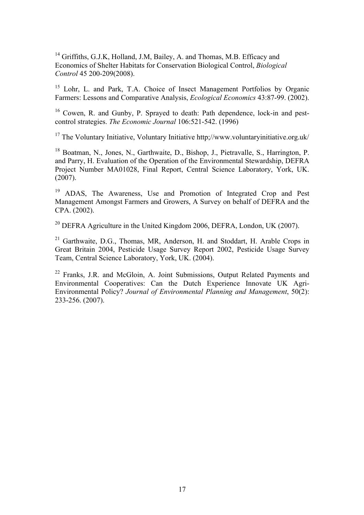<sup>14</sup> Griffiths, G.J.K, Holland, J.M, Bailey, A. and Thomas, M.B. Efficacy and Economics of Shelter Habitats for Conservation Biological Control, *Biological Control* 45 200-209(2008).

<sup>15</sup> Lohr, L. and Park, T.A. Choice of Insect Management Portfolios by Organic Farmers: Lessons and Comparative Analysis, *Ecological Economics* 43:87-99. (2002).

<sup>16</sup> Cowen, R. and Gunby, P. Sprayed to death: Path dependence, lock-in and pestcontrol strategies. *The Economic Journal* 106:521-542. (1996)

<sup>17</sup> The Voluntary Initiative, Voluntary Initiative http;//www.voluntaryinitiative.org.uk/

<sup>18</sup> Boatman, N., Jones, N., Garthwaite, D., Bishop, J., Pietravalle, S., Harrington, P. and Parry, H. Evaluation of the Operation of the Environmental Stewardship, DEFRA Project Number MA01028, Final Report, Central Science Laboratory, York, UK.  $(2007)$ .

<sup>19</sup> ADAS, The Awareness, Use and Promotion of Integrated Crop and Pest Management Amongst Farmers and Growers, A Survey on behalf of DEFRA and the CPA. (2002).

<sup>20</sup> DEFRA Agriculture in the United Kingdom 2006, DEFRA, London, UK (2007).

<sup>21</sup> Garthwaite, D.G., Thomas, MR, Anderson, H. and Stoddart, H. Arable Crops in Great Britain 2004, Pesticide Usage Survey Report 2002, Pesticide Usage Survey Team, Central Science Laboratory, York, UK. (2004).

<sup>22</sup> Franks, J.R. and McGloin, A. Joint Submissions, Output Related Payments and Environmental Cooperatives: Can the Dutch Experience Innovate UK Agri-Environmental Policy? *Journal of Environmental Planning and Management*, 50(2): 233-256. (2007).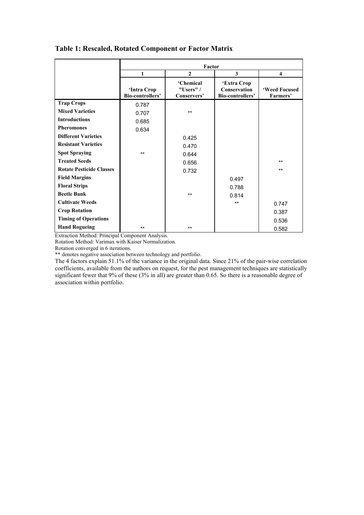| Table 1: Rescaled, Rotated Component or Factor Matrix |  |  |
|-------------------------------------------------------|--|--|
|                                                       |  |  |

|                                 | Factor                          |                                                |                                                        |                           |  |  |
|---------------------------------|---------------------------------|------------------------------------------------|--------------------------------------------------------|---------------------------|--|--|
|                                 | 1                               | $\mathbf{2}$                                   | 3                                                      | $\overline{\bf{4}}$       |  |  |
|                                 | 'Intra Crop<br>Bio-controllers' | <b>'Chemical</b><br>"Users" $/$<br>Conservers' | 'Extra Crop<br><b>Conservation</b><br>Bio-controllers' | 'Weed Focused<br>Farmers' |  |  |
| <b>Trap Crops</b>               | 0.787                           |                                                |                                                        |                           |  |  |
| <b>Mixed Varieties</b>          | 0.707                           | $***$                                          |                                                        |                           |  |  |
| <b>Introductions</b>            | 0.685                           |                                                |                                                        |                           |  |  |
| <b>Pheromones</b>               | 0.634                           |                                                |                                                        |                           |  |  |
| <b>Different Varieties</b>      |                                 | 0.425                                          |                                                        |                           |  |  |
| <b>Resistant Varieties</b>      |                                 | 0.470                                          |                                                        |                           |  |  |
| <b>Spot Spraying</b>            | $***$                           | 0.644                                          |                                                        |                           |  |  |
| <b>Treated Seeds</b>            |                                 | 0.656                                          |                                                        | $***$                     |  |  |
| <b>Rotate Pesticide Classes</b> |                                 | 0.732                                          |                                                        | $***$                     |  |  |
| <b>Field Margins</b>            |                                 |                                                | 0.497                                                  |                           |  |  |
| <b>Floral Strips</b>            |                                 |                                                | 0.788                                                  |                           |  |  |
| <b>Beetle Bank</b>              |                                 | $***$                                          | 0.814                                                  |                           |  |  |
| <b>Cultivate Weeds</b>          |                                 |                                                | $*$                                                    | 0.747                     |  |  |
| <b>Crop Rotation</b>            |                                 |                                                |                                                        | 0.387                     |  |  |
| <b>Timing of Operations</b>     |                                 |                                                |                                                        | 0.536                     |  |  |
| <b>Hand Rogueing</b>            | $***$                           | $***$                                          |                                                        | 0.582                     |  |  |

Extraction Method: Principal Component Analysis.

Rotation Method: Varimax with Kaiser Normalization.

Rotation converged in 6 iterations.

\*\* denotes negative association between technology and portfolio.

The 4 factors explain 51.1% of the variance in the original data. Since 21% of the pair-wise correlation coefficients, available from the authors on request, for the pest management techniques are statistically significant fewer that 9% of these (3% in all) are greater than 0.65. So there is a reasonable degree of association within portfolio.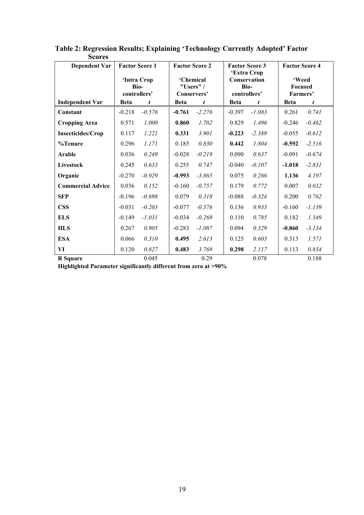| NUI LI<br><b>Dependent Var</b> | <b>Factor Score 1</b> |             |             | <b>Factor Score 2</b>                 |             | <b>Factor Score 3</b>                                      | <b>Factor Score 4</b>               |          |
|--------------------------------|-----------------------|-------------|-------------|---------------------------------------|-------------|------------------------------------------------------------|-------------------------------------|----------|
|                                | Bio-<br>controllers'  | 'Intra Crop |             | 'Chemical<br>"Users" /<br>Conservers' |             | 'Extra Crop<br><b>Conservation</b><br>Bio-<br>controllers' | 'Weed<br><b>Focused</b><br>Farmers' |          |
| <b>Independent Var</b>         | <b>Beta</b>           | t           | <b>Beta</b> | t                                     | <b>Beta</b> | t                                                          | <b>Beta</b>                         | t        |
| Constant                       | $-0.218$              | $-0.576$    | $-0.761$    | $-2.276$                              | $-0.397$    | $-1.083$                                                   | 0.261                               | 0.741    |
| <b>Cropping Area</b>           | 0.571                 | 1.000       | 0.860       | 1.702                                 | 0.829       | 1.496                                                      | $-0.246$                            | $-0.462$ |
| <b>Insecticides/Crop</b>       | 0.117                 | 1.221       | 0.331       | 3.901                                 | $-0.223$    | $-2.389$                                                   | $-0.055$                            | $-0.612$ |
| %Tenure                        | 0.296                 | 1.171       | 0.185       | 0.830                                 | 0.442       | 1.804                                                      | $-0.592$                            | $-2.516$ |
| Arable                         | 0.036                 | 0.249       | $-0.028$    | $-0.219$                              | 0.090       | 0.637                                                      | $-0.091$                            | $-0.674$ |
| Livestock                      | 0.245                 | 0.633       | 0.255       | 0.747                                 | $-0.040$    | $-0.107$                                                   | $-1.018$                            | $-2.831$ |
| Organic                        | $-0.270$              | $-0.929$    | $-0.993$    | $-3.865$                              | 0.075       | 0.266                                                      | 1.136                               | 4.197    |
| <b>Commercial Advice</b>       | 0.036                 | 0.152       | $-0.160$    | $-0.757$                              | 0.179       | 0.772                                                      | 0.007                               | 0.032    |
| <b>SFP</b>                     | $-0.196$              | $-0.698$    | 0.079       | 0.318                                 | $-0.088$    | $-0.324$                                                   | 0.200                               | 0.762    |
| <b>CSS</b>                     | $-0.031$              | $-0.203$    | $-0.077$    | $-0.576$                              | 0.136       | 0.933                                                      | $-0.160$                            | $-1.139$ |
| <b>ELS</b>                     | $-0.149$              | $-1.031$    | $-0.034$    | $-0.269$                              | 0.110       | 0.785                                                      | 0.182                               | 1.349    |
| <b>HLS</b>                     | 0.267                 | 0.905       | $-0.283$    | $-1.087$                              | 0.094       | 0.329                                                      | $-0.860$                            | $-3.134$ |
| <b>ESA</b>                     | 0.066                 | 0.310       | 0.495       | 2.613                                 | 0.125       | 0.603                                                      | 0.313                               | 1.571    |
| VI                             | 0.120                 | 0.827       | 0.483       | 3.769                                 | 0.298       | 2.117                                                      | 0.113                               | 0.834    |
| <b>R</b> Square                |                       | 0.045       |             | 0.29                                  |             | 0.078                                                      |                                     | 0.188    |

**Table 2: Regression Results; Explaining 'Technology Currently Adopted' Factor Scores** 

**Highlighted Parameter significantly different from zero at >90%**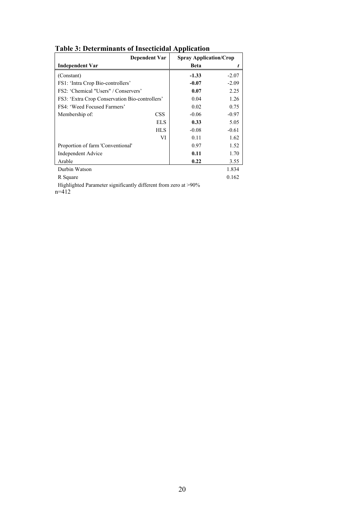| Dependent Var                                  |             | <b>Spray Application/Crop</b> |  |  |
|------------------------------------------------|-------------|-------------------------------|--|--|
| <b>Independent Var</b>                         | <b>Beta</b> |                               |  |  |
| (Constant)                                     | $-1.33$     | $-2.07$                       |  |  |
| FS1: 'Intra Crop Bio-controllers'              | $-0.07$     | $-2.09$                       |  |  |
| FS2: 'Chemical "Users" / Conservers'           | 0.07        | 2.25                          |  |  |
| FS3: 'Extra Crop Conservation Bio-controllers' | 0.04        | 1.26                          |  |  |
| FS4: 'Weed Focused Farmers'                    | 0.02        | 0.75                          |  |  |
| <b>CSS</b><br>Membership of:                   | $-0.06$     | $-0.97$                       |  |  |
| <b>ELS</b>                                     | 0.33        | 5.05                          |  |  |
| HL S                                           | $-0.08$     | $-0.61$                       |  |  |
| VI                                             | 0.11        | 1.62                          |  |  |
| Proportion of farm 'Conventional'              | 0.97        | 1.52                          |  |  |
| <b>Independent Advice</b>                      | 0.11        | 1.70                          |  |  |
| Arable                                         | 0.22        | 3.55                          |  |  |
| Durbin Watson                                  |             | 1.834                         |  |  |
| R Square                                       |             | 0.162                         |  |  |

**Table 3: Determinants of Insecticidal Application**

Highlighted Parameter significantly different from zero at >90% n=412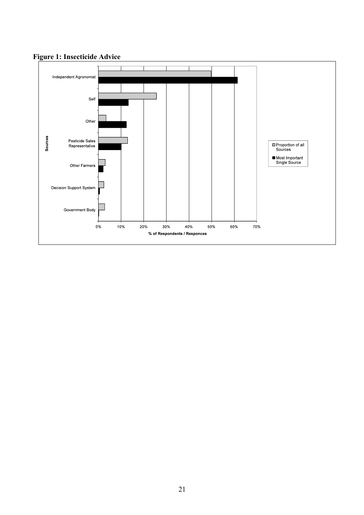

# **Figure 1: Insecticide Advice**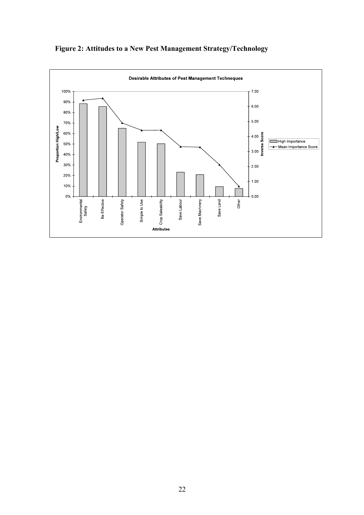

# **Figure 2: Attitudes to a New Pest Management Strategy/Technology**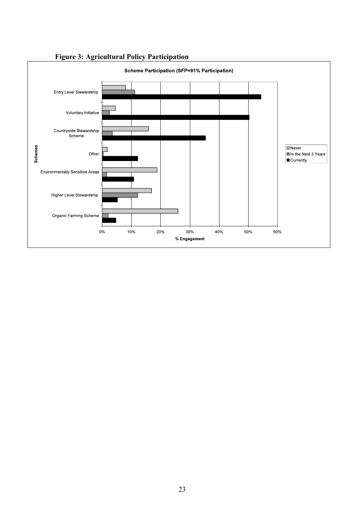

# **Figure 3: Agricultural Policy Participation**